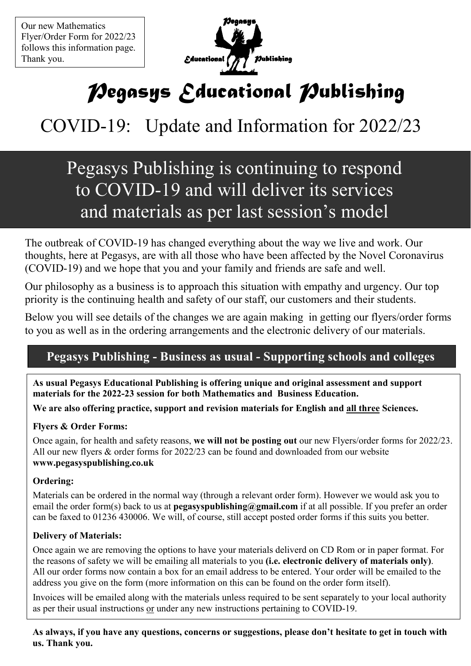Our new Mathematics Flyer/Order Form for 2022/23 Thank you. follows this information page.

 $\overline{a}$ 



# *Pegasys Educational Publishing*

# COVID-19: Update and Information for 2022/23

# and materials as per last session's model Pegasys Publishing is continuing to respond to COVID-19 and will deliver its services

 The outbreak of COVID-19 has changed everything about the way we live and work. Our (COVID-19) and we hope that you and your family and friends are safe and well. thoughts, here at Pegasys, are with all those who have been affected by the Novel Coronavirus

Our philosophy as a business is to approach this situation with empathy and urgency. Our priority is the continuing health and safety of our staff, our customers and their students. Our philosophy as a business is to approach this situation with empathy and urgency. Our top

**Below you will see details of the changes we are again making in getting our flyers/order forms** to you as well as in the ordering arrangements and the electronic delivery of our materials.

# **Pegasys Publishing - Business as usual - Supporting schools and colleges**

 **materials for the 2022-23 session for both Mathematics and Business Education. As usual Pegasys Educational Publishing is offering unique and original assessment and support** 

**We are also offering practice, support and revision materials for English and all three Sciences.** 

#### **Flyers & Order Forms:**

Once again, for health and safety reasons, **we will not be posting out** our new Flyers/order forms for 2022/23. All our new flyers & order forms for 2022/23 can be found and downloaded from our website **www.pegasyspublishing.co.uk** 

#### **Ordering:**

 Materials can be ordered in the normal way (through a relevant order form). However we would ask you to email the order form(s) back to us at **pegasyspublishing@gmail.com** if at all possible. If you prefer an order can be faxed to 01236 430006. We will, of course, still accept posted order forms if this suits you better.

#### **Delivery of Materials:**

Once again we are removing the options to have your materials deliverd on CD Rom or in paper format. For the reasons of safety we will be emailing all materials to you **(i.e. electronic delivery of materials only)**. All our order forms now contain a box for an email address to be entered. Your order will be emailed to the address you give on the form (more information on this can be found on the order form itself).

Invoices will be emailed along with the materials unless required to be sent separately to your local authority as per their usual instructions or under any new instructions pertaining to COVID-19.

**As always, if you have any questions, concerns or suggestions, please don't hesitate to get in touch with us. Thank you.**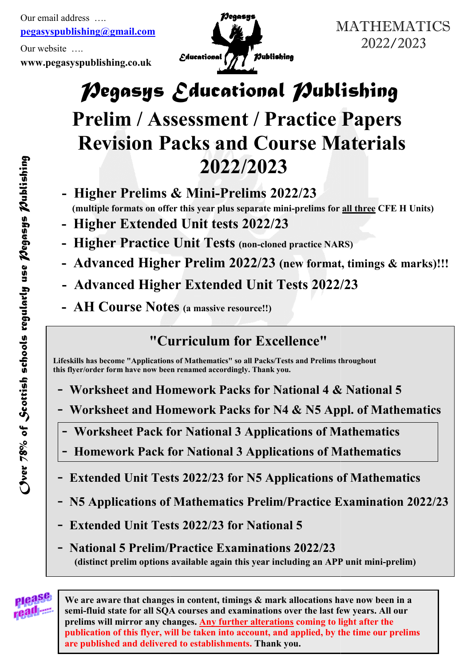**pegasyspublishing@gmail.com** Ĩ Our email address ….

Our website ….

**www.pegasyspublishing.co.uk**



2022/2023

# *Pegasys Educational Publishing Pegasys Educational Publishing*

# **Prelim / Assessment / Practice Papers Revision Packs and Course Materials**<br>
2022/2023 MATHEMATICS<br>
2022/2023<br> **Exational Publishing**<br> **Exational Publishing**<br> **Exational Course Materials**<br>
22/2023<br>
Prelims 2022/23<br>
Prelims 2022/23<br>
ests 2022/23<br>
ests 2022/23<br>
ests 2022/23<br>
(new format, timings & marks)!!!<br>
d

- **Higher Prelims & Mini & Mini-Prelims 2022/23 (multiple formats on offer this year plus separate mini-prelims for <u>all three</u> CFE H Units)** 
	- **Higher Extended Unit tests Higher Extended 2022/23**
	- **Higher Practice Unit Tests (non-cloned practice NARS)**
- **Advanced Higher Prelim 2022/23** (new format, timings & marks)!!!
- **1 Advanced Higher Extended Unit Tests 2022/23** 
	- **AH Course Notes** (a massive resource!!)

# **"Curriculum for Excellence"**

Lifeskills has become "Applications of Mathematics" so all Packs/Tests<br>this flyer/order form have now been renamed accordingly. Thank you.<br>. **Lifeskills has become "Applications of Mathematics" so all Packs/Tests and Prelims throughout** 

- Worksheet and Homework Packs for National 4 & National 5
- **-** Worksheet and Homework Packs for National 4 & National 5<br>- Worksheet and Homework Packs for N4 & N5 Appl. of Mathematics
- $\boxed{\phantom{a}$  **Worksheet Pack for National 3 Applications of Mathematics** 
	- - **Homework Pack for 4ational 3 Applications of Mathematics**
- - **Extended Unit Tests 2022/23 for 45 Applications of Mathematics**
- Homework Pack for National 3 Applications of Mathematics<br>
 Extended Unit Tests 2022/23 for N5 Applications of Mathematics<br>
 N5 Applications of Mathematics Prelim/Practice Examination 2022/23
- **Extended Unit Tests 2022/23 for National 5**
- **(distinct prelim options available again this year including an APP unit mini mini-prelim)**  - **4ational 5 Prelim/Practice Examinations 2022/23**



**We are aware that changes in content, timings & changes in content, timings & mark allocations have now been in a semi-fluid state for all SQA courses and examinations over the last few years. All our**  We are aware that changes in content, timings & mark allocations have now been<br>semi-fluid state for all SQA courses and examinations over the last few years. All **<br>prelims will mirror any changes. <u>Any further alterations</u>** publication of this flyer, will be taken into account, and applied, by the time our prelims **are published and delivered to establishments. are published establishments. Thank you.**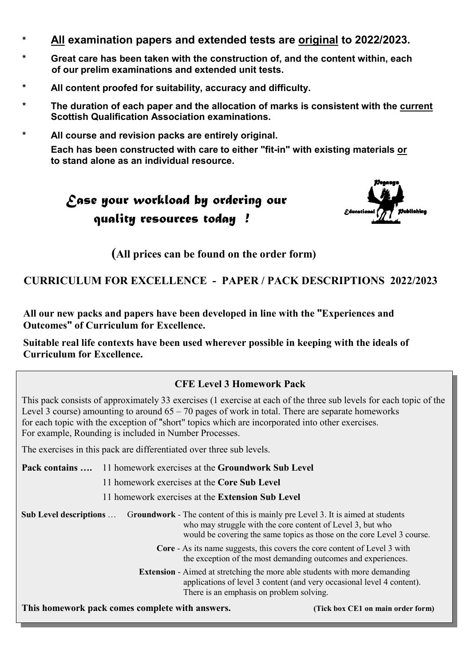- **\* All examination papers and extended tests are original to 2022/2023.**
- **\* Great care has been taken with the construction of, and the content within, each of our prelim examinations and extended unit tests.**
- **\* All content proofed for suitability, accuracy and difficulty.**
- **\* The duration of each paper and the allocation of marks is consistent with the current Scottish Qualification Association examinations.**
- **\* All course and revision packs are entirely original. Each has been constructed with care to either "fit-in" with existing materials or to stand alone as an individual resource.**





**(All prices can be found on the order form)**

#### **CURRICULUM FOR EXCELLE4CE - PAPER / PACK DESCRIPTIO4S 2022/2023**

**All our new packs and papers have been developed in line with the "Experiences and Outcomes" of Curriculum for Excellence.** 

**Suitable real life contexts have been used wherever possible in keeping with the ideals of Curriculum for Excellence.** 

#### **CFE Level 3 Homework Pack**

 This pack consists of approximately 33 exercises (1 exercise at each of the three sub levels for each topic of the Level 3 course) amounting to around  $65 - 70$  pages of work in total. There are separate homeworks for each topic with the exception of "short" topics which are incorporated into other exercises. For example, Rounding is included in Number Processes.

The exercises in this pack are differentiated over three sub levels.

 **Pack contains ….** 11 homework exercises at the **Groundwork Sub Level** 11 homework exercises at the **Core Sub Level** 11 homework exercises at the **Extension Sub Level Sub Level descriptions** … G**roundwork** - The content of this is mainly pre Level 3. It is aimed at students who may struggle with the core content of Level 3, but who would be covering the same topics as those on the core Level 3 course. **Core** - As its name suggests, this covers the core content of Level 3 with the exception of the most demanding outcomes and experiences. **Extension** - Aimed at stretching the more able students with more demanding applications of level 3 content (and very occasional level 4 content). There is an emphasis on problem solving.

 **This homework pack comes complete with answers. (Tick box CE1 on main order form)**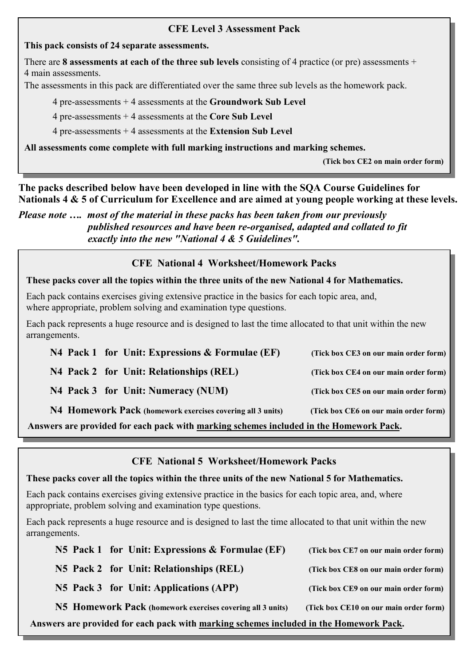#### **CFE Level 3 Assessment Pack**

#### **This pack consists of 24 separate assessments.**

There are **8 assessments at each of the three sub levels** consisting of 4 practice (or pre) assessments + 4 main assessments.

The assessments in this pack are differentiated over the same three sub levels as the homework pack.

4 pre-assessments + 4 assessments at the **Groundwork Sub Level**

4 pre-assessments + 4 assessments at the **Core Sub Level**

4 pre-assessments + 4 assessments at the **Extension Sub Level**

**All assessments come complete with full marking instructions and marking schemes.** 

 **(Tick box CE2 on main order form)** 

**The packs described below have been developed in line with the SQA Course Guidelines for 4ationals 4 & 5 of Curriculum for Excellence and are aimed at young people working at these levels.** 

*Please note …. most of the material in these packs has been taken from our previously published resources and have been re-organised, adapted and collated to fit exactly into the new "National 4 & 5 Guidelines".* 

#### **CFE 4ational 4 Worksheet/Homework Packs**

#### These packs cover all the topics within the three units of the new National 4 for Mathematics.

Each pack contains exercises giving extensive practice in the basics for each topic area, and, where appropriate, problem solving and examination type questions.

Each pack represents a huge resource and is designed to last the time allocated to that unit within the new arrangements.

| N4 Pack 1 for Unit: Expressions $\&$ Formulae (EF)         | (Tick box CE3 on our main order form) |
|------------------------------------------------------------|---------------------------------------|
| N4 Pack 2 for Unit: Relationships (REL)                    | (Tick box CE4 on our main order form) |
| N4 Pack 3 for Unit: Numeracy (NUM)                         | (Tick box CE5 on our main order form) |
| N4 Homework Pack (homework exercises covering all 3 units) | (Tick box CE6 on our main order form) |

**Answers are provided for each pack with marking schemes included in the Homework Pack.**

**CFE 4ational 5 Worksheet/Homework Packs**

#### These packs cover all the topics within the three units of the new National 5 for Mathematics.

Each pack contains exercises giving extensive practice in the basics for each topic area, and, where appropriate, problem solving and examination type questions.

Each pack represents a huge resource and is designed to last the time allocated to that unit within the new arrangements.

| N5 Pack 1 for Unit: Expressions & Formulae (EF)                                        | (Tick box CE7 on our main order form)  |  |  |
|----------------------------------------------------------------------------------------|----------------------------------------|--|--|
| N5 Pack 2 for Unit: Relationships (REL)                                                | (Tick box CE8 on our main order form)  |  |  |
| N5 Pack 3 for Unit: Applications (APP)                                                 | (Tick box CE9 on our main order form)  |  |  |
| N5 Homework Pack (homework exercises covering all 3 units)                             | (Tick box CE10 on our main order form) |  |  |
| Answers are provided for each pack with marking schemes included in the Homework Pack. |                                        |  |  |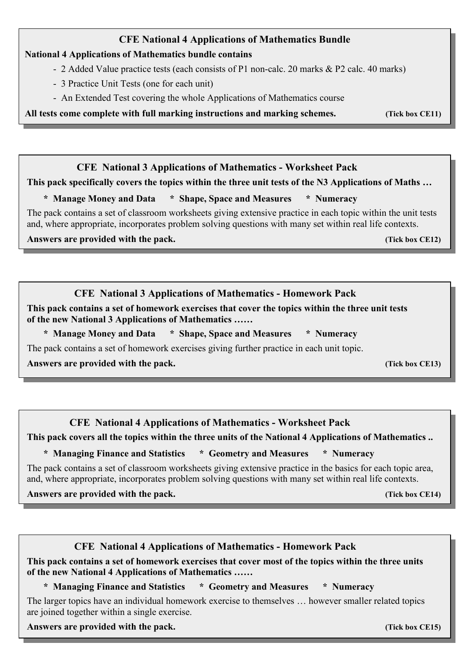#### **CFE National 4 Applications of Mathematics Bundle 4ational 4 Applications of Mathematics bundle contains**  - 2 Added Value practice tests (each consists of P1 non-calc. 20 marks & P2 calc. 40 marks)

- 3 Practice Unit Tests (one for each unit)
- An Extended Test covering the whole Applications of Mathematics course

**All tests come complete with full marking instructions and marking schemes. (Tick box CE11)** 

*CFE* National 3 Applications of Mathematics - Worksheet Pack

**This pack specifically covers the topics within the three unit tests of the N3 Applications of Maths ...**<br>\* Manage Money and Data \* Shape, Space and Measures \* Numeracy

#### \* Manage Money and Data \* Shape, Space and Measures

 The pack contains a set of classroom worksheets giving extensive practice in each topic within the unit tests and, where appropriate, incorporates problem solving questions with many set within real life contexts.

*Answers are provided with the pack.***<br>
<b>***Answers are provided with the pack.* 

#### **CFE National 3 Applications of Mathematics - Homework Pack**

 **This pack contains a set of homework exercises that cover the topics within the three unit tests**  of the new National 3 Applications of Mathematics ......

\* Manage Money and Data \* Shape, Space and Measures \* Numeracy

The pack contains a set of homework exercises giving further practice in each unit topic.

 **Answers are provided with the pack. (Tick box CE13)**

## *CFE* **National 4 Applications of Mathematics - Worksheet Pack**

This pack covers all the topics within the three units of the National 4 Applications of Mathematics ..

\* Managing Finance and Statistics \* Geometry and Measures \* Numeracy

 The pack contains a set of classroom worksheets giving extensive practice in the basics for each topic area, and, where appropriate, incorporates problem solving questions with many set within real life contexts.

 **Answers are provided with the pack. (Tick box CE14)**

#### *CFE* National 4 Applications of Mathematics - Homework Pack

 **This pack contains a set of homework exercises that cover most of the topics within the three units**  of the new National 4 Applications of Mathematics ......

\* Managing Finance and Statistics \* Geometry and Measures \* Numeracy

 The larger topics have an individual homework exercise to themselves … however smaller related topics are joined together within a single exercise.

 **Answers are provided with the pack. (Tick box CE15)**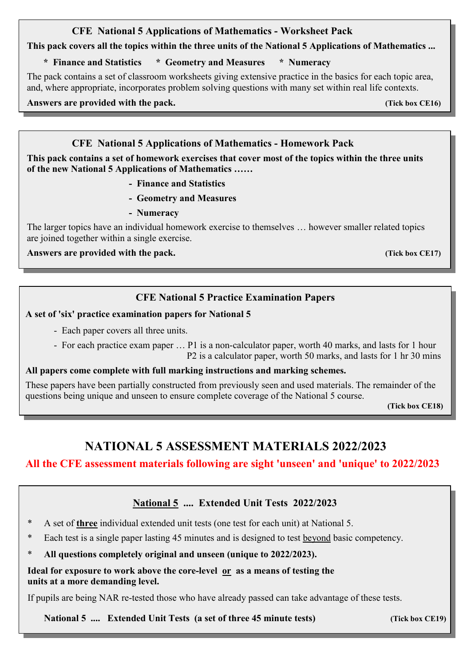#### *CFE* **National 5 Applications of Mathematics - Worksheet Pack**

This pack covers all the topics within the three units of the National 5 Applications of Mathematics ...

#### \* Finance and Statistics \* Geometry and Measures \* Numeracy

 The pack contains a set of classroom worksheets giving extensive practice in the basics for each topic area, and, where appropriate, incorporates problem solving questions with many set within real life contexts.

 **Answers are provided with the pack. (Tick box CE16)**

l

#### *CFE* National 5 Applications of Mathematics - Homework Pack

 **This pack contains a set of homework exercises that cover most of the topics within the three units**  of the new National 5 Applications of Mathematics ......

- **Finance and Statistics**
- **Geometry and Measures**
- **Numeracy**

 The larger topics have an individual homework exercise to themselves … however smaller related topics are joined together within a single exercise.

 **Answers are provided with the pack. (Tick box CE17)**

#### **CFE National 5 Practice Examination Papers**

#### A set of 'six' practice examination papers for National 5

- Each paper covers all three units.
- For each practice exam paper … P1 is a non-calculator paper, worth 40 marks, and lasts for 1 hour

## P2 is a calculator paper, worth 50 marks, and lasts for 1 hr 30 mins

#### **All papers come complete with full marking instructions and marking schemes.**

These papers have been partially constructed from previously seen and used materials. The remainder of the questions being unique and unseen to ensure complete coverage of the National 5 course.

 **(Tick box CE18)**

## **NATIONAL 5 ASSESSMENT MATERIALS 2022/2023**

#### **All the CFE assessment materials following are sight 'unseen' and 'unique' to 2022/2023**

#### **4ational 5 .... Extended Unit Tests 2022/2023**

- \* A set of **three** individual extended unit tests (one test for each unit) at National 5.
- \* Each test is a single paper lasting 45 minutes and is designed to test beyond basic competency.
- All questions completely original and unseen (unique to 2022/2023).

#### **Ideal for exposure to work above the core-level or as a means of testing the units at a more demanding level.**

If pupils are being NAR re-tested those who have already passed can take advantage of these tests.

National 5 .... Extended Unit Tests (a set of three 45 minute tests) **(Tick box CE19)**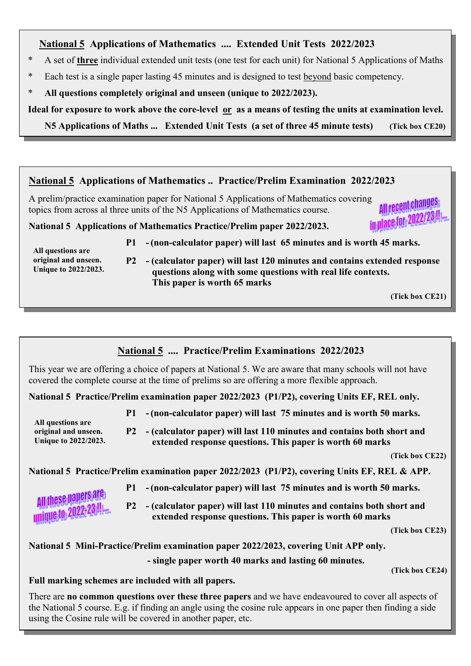# **1 Mational 5** Applications of Mathematics .... Extended Unit Tests 2022/2023

- \* A set of **three** individual extended unit tests (one test for each unit) for National 5 Applications of Maths
- \* Each test is a single paper lasting 45 minutes and is designed to test beyond basic competency.
- \* **All questions completely original and unseen (unique to 2022/2023).**

 **Ideal for exposure to work above the core-level or as a means of testing the units at examination level.** 

 **45 Applications of Maths ... Extended Unit Tests (a set of three 45 minute tests) (Tick box CE20)**

#### **4ational 5 Applications of Mathematics .. Practice/Prelim Examination 2022/2023**

A prelim/practice examination paper for National 5 Applications of Mathematics covering All recent changes topics from across al three units of the N5 Applications of Mathematics course. **All Fecont 2022/23 !!!** 

**4ational 5 Applications of Mathematics Practice/Prelim paper 2022/2023.** 

- **P1 - (non-calculator paper) will last 65 minutes and is worth 45 marks.**
- **All questions are original and unseen. Unique to 2022/2023.**

 **P2 - (calculator paper) will last 120 minutes and contains extended response questions along with some questions with real life contexts. This paper is worth 65 marks**

 **(Tick box CE21)** 

#### **4ational 5 .... Practice/Prelim Examinations 2022/2023**

This year we are offering a choice of papers at National 5. We are aware that many schools will not have covered the complete course at the time of prelims so are offering a more flexible approach.

National 5 Practice/Prelim examination paper 2022/2023 (P1/P2), covering Units EF, REL only.

- **P1 - (non-calculator paper) will last 75 minutes and is worth 50 marks.** 
	- **P2 (calculator paper) will last 110 minutes and contains both short and extended response questions. This paper is worth 60 marks**

 **(Tick box CE22)**

National 5 Practice/Prelim examination paper 2022/2023 (P1/P2), covering Units EF, REL & APP.

 **P1 - (non-calculator paper) will last 75 minutes and is worth 50 marks.** 

All these papers are<br>unique to 2022-23 !!!

 **All questions are** 

**original and unseen. Unique to 2022/2023.**

> **P2 - (calculator paper) will last 110 minutes and contains both short and extended response questions. This paper is worth 60 marks**

> > **(Tick box CE23)**

National 5 Mini-Practice/Prelim examination paper 2022/2023, covering Unit APP only.  **- single paper worth 40 marks and lasting 60 minutes.** 

 **(Tick box CE24)**

**Full marking schemes are included with all papers.** 

There are **no common questions over these three papers** and we have endeavoured to cover all aspects of the National 5 course. E.g. if finding an angle using the cosine rule appears in one paper then finding a side using the Cosine rule will be covered in another paper, etc.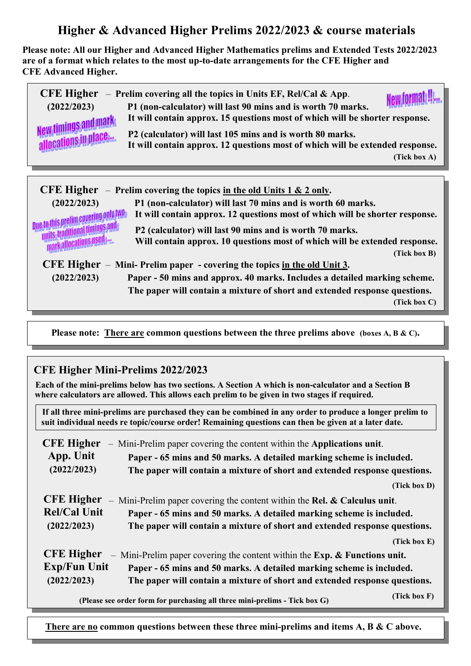## **Higher & Advanced Higher Prelims 2022/2023 & course materials**

**Please note: All our Higher and Advanced Higher Mathematics prelims and Extended Tests 2022/2023 are of a format which relates to the most up-to-date arrangements for the CFE Higher and CFE Advanced Higher.**

| <b>CFE Higher</b><br>(2022/2023)<br>New timings and mark | - Prelim covering all the topics in Units EF, Rel/Cal & App.<br>P1 (non-calculator) will last 90 mins and is worth 70 marks.<br>It will contain approx. 15 questions most of which will be shorter response.<br>P2 (calculator) will last 105 mins and is worth 80 marks.<br>It will contain approx. 12 questions most of which will be extended response.<br>(Tick box A) |
|----------------------------------------------------------|----------------------------------------------------------------------------------------------------------------------------------------------------------------------------------------------------------------------------------------------------------------------------------------------------------------------------------------------------------------------------|
| <b>CFE Higher</b>                                        | - Prelim covering the topics in the old Units $1 & 2$ only.                                                                                                                                                                                                                                                                                                                |
| (2022/2023)                                              | P1 (non-calculator) will last 70 mins and is worth 60 marks.                                                                                                                                                                                                                                                                                                               |

 **(2022/2023) P1 (non-calculator) will last 70 mins and is worth 60 marks. 10 this prelim covering only two** It will contain approx. 12 questions most of which will be shorter response.<br>In although the participant of the P2 (calculator) will last 90 mins and is worth 70 marks.

**P2 (calculator) will last 90 mins and is worth 70 marks.**<br> *Millen Mill contain approx.* **10 questions most of which will be marked to the market will be Will contain approx. 10 questions most of which will be extended response. (Tick box B) CFE Higher** – **Mini- Prelim paper - covering the topics in the old Unit 3.** 

 **(2022/2023) Paper - 50 mins and approx. 40 marks. Includes a detailed marking scheme. The paper will contain a mixture of short and extended response questions. (Tick box C)**

 **Please note: There are common questions between the three prelims above (boxes A, B & C).** 

#### **CFE Higher Mini-Prelims 2022/2023**

 **Each of the mini-prelims below has two sections. A Section A which is non-calculator and a Section B where calculators are allowed. This allows each prelim to be given in two stages if required.**

 **If all three mini-prelims are purchased they can be combined in any order to produce a longer prelim to suit individual needs re topic/course order! Remaining questions can then be given at a later date.** 

| <b>CFE Higher</b>   | - Mini-Prelim paper covering the content within the Applications unit.       |              |  |
|---------------------|------------------------------------------------------------------------------|--------------|--|
| App. Unit           | Paper - 65 mins and 50 marks. A detailed marking scheme is included.         |              |  |
| (2022/2023)         | The paper will contain a mixture of short and extended response questions.   |              |  |
|                     |                                                                              | (Tick box D) |  |
| <b>CFE Higher</b>   | - Mini-Prelim paper covering the content within the Rel. $&$ Calculus unit.  |              |  |
| <b>Rel/Cal Unit</b> | Paper - 65 mins and 50 marks. A detailed marking scheme is included.         |              |  |
| (2022/2023)         | The paper will contain a mixture of short and extended response questions.   |              |  |
|                     |                                                                              | (Tick box E) |  |
| <b>CFE Higher</b>   | - Mini-Prelim paper covering the content within the $Exp.$ & Functions unit. |              |  |
| <b>Exp/Fun Unit</b> | Paper - 65 mins and 50 marks. A detailed marking scheme is included.         |              |  |
| (2022/2023)         | The paper will contain a mixture of short and extended response questions.   |              |  |
|                     | (Please see order form for purchasing all three mini-prelims - Tick box G)   | (Tick box F) |  |

There are no common questions between these three mini-prelims and items A, B & C above.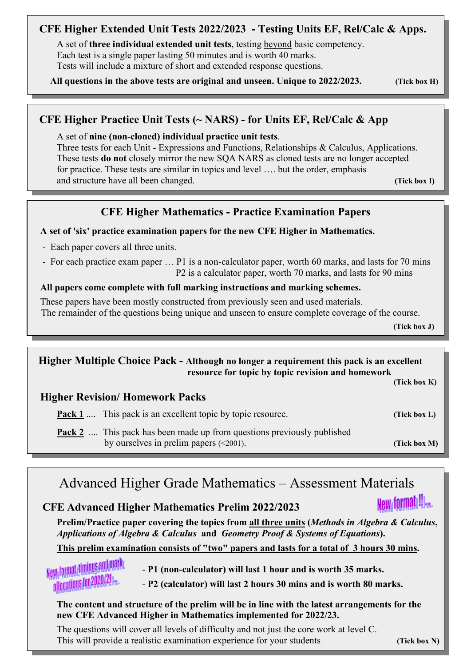#### **CFE Higher Extended Unit Tests 2022/2023 - Testing Units EF, Rel/Calc & Apps.**

 A set of **three individual extended unit tests**, testing beyond basic competency. Each test is a single paper lasting 50 minutes and is worth 40 marks. Tests will include a mixture of short and extended response questions.

 **All questions in the above tests are original and unseen. Unique to 2022/2023. (Tick box H)**

#### **CFE Higher Practice Unit Tests (~ 4ARS) - for Units EF, Rel/Calc & App**

A set of **nine (non-cloned) individual practice unit tests**.

 Three tests for each Unit - Expressions and Functions, Relationships & Calculus, Applications. These tests **do not** closely mirror the new SQA NARS as cloned tests are no longer accepted for practice. These tests are similar in topics and level …. but the order, emphasis and structure have all been changed. **(Tick box I)** (Tick box I)

#### **CFE Higher Mathematics - Practice Examination Papers**

#### **A set of 'six' practice examination papers for the new CFE Higher in Mathematics.**

- Each paper covers all three units.

 - For each practice exam paper … P1 is a non-calculator paper, worth 60 marks, and lasts for 70 mins P2 is a calculator paper, worth 70 marks, and lasts for 90 mins

#### **All papers come complete with full marking instructions and marking schemes.**

 These papers have been mostly constructed from previously seen and used materials. The remainder of the questions being unique and unseen to ensure complete coverage of the course.

 **(Tick box J)**

#### **Higher Multiple Choice Pack - Although no longer a requirement this pack is an excellent resource for topic by topic revision and homework**

**(Tick box K)** 

#### **Higher Revision/ Homework Packs**

**Pack 1** .... This pack is an excellent topic by topic resource. **(Tick box L)** 

**Pack 2** .... This pack has been made up from questions previously published by ourselves in prelim papers (<2001). **(Tick box M)**

# Advanced Higher Grade Mathematics – Assessment Materials

#### **CFE Advanced Higher Mathematics Prelim 2022/2023**

 **Prelim/Practice paper covering the topics from all three units (***Methods in Algebra & Calculus***,** *Applications of Algebra & Calculus* **and** *Geometry Proof & Systems of Equations***).** 

#### **This prelim examination consists of "two" papers and lasts for a total of 3 hours 30 mins.**

- **Rew format diminus and many calculator P1** (non-calculator) will last 1 hour and is worth 35 marks.<br>allocations for 2020/21...
	- **P2 (calculator) will last 2 hours 30 mins and is worth 80 marks.**

#### **The content and structure of the prelim will be in line with the latest arrangements for the new CFE Advanced Higher in Mathematics implemented for 2022/23.**

 The questions will cover all levels of difficulty and not just the core work at level C. This will provide a realistic examination experience for your students **(Tick box N)** 

New formate!!!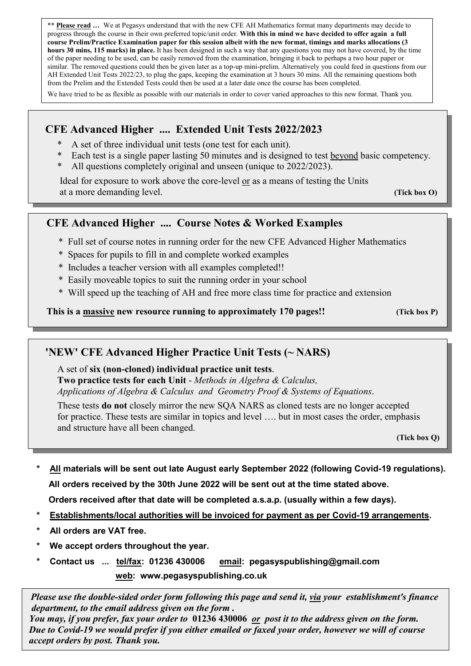\*\* **Please read …** We at Pegasys understand that with the new CFE AH Mathematics format many departments may decide to progress through the course in their own preferred topic/unit order. **With this in mind we have decided to offer again a full course Prelim/Practice Examination paper for this session albeit with the new format, timings and marks allocations (3 hours 30 mins, 115 marks) in place.** It has been designed in such a way that any questions you may not have covered, by the time of the paper needing to be used, can be easily removed from the examination, bringing it back to perhaps a two hour paper or similar. The removed questions could then be given later as a top-up mini-prelim. Alternatively you could feed in questions from our AH Extended Unit Tests 2022/23, to plug the gaps, keeping the examination at 3 hours 30 mins. All the remaining questions both from the Prelim and the Extended Tests could then be used at a later date once the course has been completed.

We have tried to be as flexible as possible with our materials in order to cover varied approaches to this new format. Thank you.

#### **CFE Advanced Higher .... Extended Unit Tests 2022/2023**

- \* A set of three individual unit tests (one test for each unit).
- \* Each test is a single paper lasting 50 minutes and is designed to test beyond basic competency.
- \* All questions completely original and unseen (unique to 2022/2023).

 Ideal for exposure to work above the core-level or as a means of testing the Units at a more demanding level. **(Tick box O)** 

#### **CFE Advanced Higher .... Course Notes & Worked Examples**

- \* Full set of course notes in running order for the new CFE Advanced Higher Mathematics
- \* Spaces for pupils to fill in and complete worked examples
- \* Includes a teacher version with all examples completed!!
- \* Easily moveable topics to suit the running order in your school
- \* Will speed up the teaching of AH and free more class time for practice and extension

**This is a massive new resource running to approximately 170 pages!! (Tick box P)**

#### **'NEW' CFE Advanced Higher Practice Unit Tests (~ NARS)**

A set of **six (non-cloned) individual practice unit tests**.

**Two practice tests for each Unit** - *Methods in Algebra & Calculus, Applications of Algebra & Calculus and Geometry Proof & Systems of Equations*.

 These tests **do not** closely mirror the new SQA NARS as cloned tests are no longer accepted for practice. These tests are similar in topics and level …. but in most cases the order, emphasis and structure have all been changed.

*<b>EXECUTER BOX Q)* **C** (Tick box Q)

**\* All materials will be sent out late August early September 2022 (following Covid-19 regulations). All orders received by the 30th June 2022 will be sent out at the time stated above.** 

 **Orders received after that date will be completed a.s.a.p. (usually within a few days).** 

- **\* Establishments/local authorities will be invoiced for payment as per Covid-19 arrangements.**
- **\* All orders are VAT free.**

- **\* We accept orders throughout the year.**
- **\* Contact us ... tel/fax: 01236 430006 email: pegasyspublishing@gmail.com web: www.pegasyspublishing.co.uk**

 *Please use the double-sided order form following this page and send it, via your establishment's finance department, to the email address given on the form .* 

 *You may, if you prefer, fax your order to* **01236 430006** *or post it to the address given on the form. Due to Covid-19 we would prefer if you either emailed or faxed your order, however we will of course accept orders by post. Thank you.*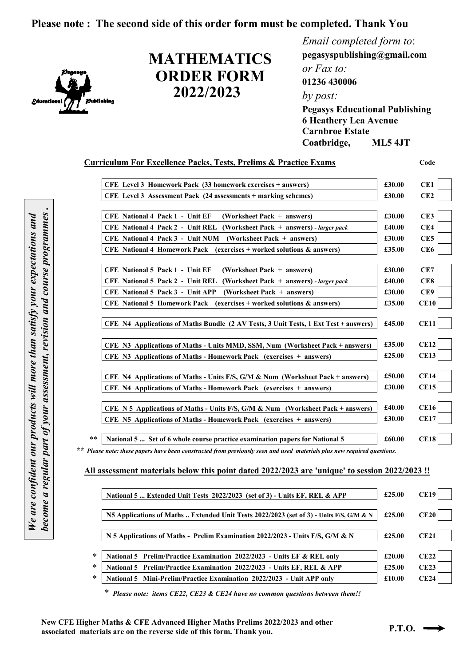#### **Please note : The second side of this order form must be completed. Thank You**



# **ORDER FORM 2022/2023 MATHEMATICS**

*Email completed form to*: **pegasyspublishing@gmail.com**  *or Fax to:*  **01236 430006**  *by post:*  **Pegasys Educational Publishing**

**6 Heathery Lea Avenue Carnbroe Estate Coatbridge, ML5 4JT** 

| <b>Curriculum For Excellence Packs, Tests, Prelims &amp; Practice Exams</b>           |        | Code            |
|---------------------------------------------------------------------------------------|--------|-----------------|
| CFE Level 3 Homework Pack (33 homework exercises + answers)                           | £30.00 | CE1             |
| CFE Level 3 Assessment Pack (24 assessments + marking schemes)                        | £30.00 | CE2             |
| <b>CFE National 4 Pack 1 - Unit EF</b><br>(Worksheet Pack + answers)                  | £30.00 | CE3             |
| CFE National 4 Pack 2 - Unit REL (Worksheet Pack + answers) - larger pack             | £40.00 | CE4             |
| <b>CFE National 4 Pack 3 - Unit NUM</b><br>(Worksheet Pack + answers)                 | £30.00 | CE5             |
| CFE National 4 Homework Pack (exercises + worked solutions & answers)                 | £35.00 | CE <sub>6</sub> |
| <b>CFE National 5 Pack 1 - Unit EF</b><br>(Worksheet Pack + answers)                  | £30.00 | CE7             |
| <b>CFE National 5 Pack 2 - Unit REL</b><br>(Worksheet Pack $+$ answers) - larger pack | £40.00 | CE8             |
| <b>CFE National 5 Pack 3 - Unit APP</b><br>(Worksheet Pack + answers)                 | £30.00 | CE9             |
| <b>CFE</b> National 5 Homework Pack (exercises + worked solutions & answers)          | £35.00 | CE10            |
| CFE N4 Applications of Maths Bundle (2 AV Tests, 3 Unit Tests, 1 Ext Test + answers)  | £45.00 | <b>CE11</b>     |
| CFE N3 Applications of Maths - Units MMD, SSM, Num (Worksheet Pack + answers)         | £35.00 | <b>CE12</b>     |
| CFE N3 Applications of Maths - Homework Pack (exercises + answers)                    | £25.00 | <b>CE13</b>     |
| CFE N4 Applications of Maths - Units F/S, G/M & Num (Worksheet Pack + answers)        | £50.00 | <b>CE14</b>     |
| CFE N4 Applications of Maths - Homework Pack (exercises + answers)                    | £30.00 | <b>CE15</b>     |
| CFE N 5 Applications of Maths - Units F/S, G/M & Num (Worksheet Pack + answers)       | £40.00 | <b>CE16</b>     |
| CFE N5 Applications of Maths - Homework Pack (exercises + answers)                    | £30.00 | <b>CE17</b>     |
| National 5  Set of 6 whole course practice examination papers for National 5          | £60.00 | <b>CE18</b>     |

 *\*\* Please note: these papers have been constructed from previously seen and used materials plus new required questions.*

#### **All assessment materials below this point dated 2022/2023 are 'unique' to session 2022/2023 !!**

| National 5  Extended Unit Tests 2022/2023 (set of 3) - Units EF, REL & APP              | £25.00 | <b>CE19</b> |
|-----------------------------------------------------------------------------------------|--------|-------------|
| N5 Applications of Maths  Extended Unit Tests 2022/2023 (set of 3) - Units F/S, G/M & N | £25.00 | <b>CE20</b> |
| N 5 Applications of Maths - Prelim Examination 2022/2023 - Units F/S, G/M & N           | £25.00 | CE21        |
| National 5 Prelim/Practice Examination 2022/2023 - Units EF & REL only                  | £20.00 | CE22        |
| National 5 Prelim/Practice Examination 2022/2023 - Units EF, REL & APP                  | £25.00 | CE23        |
| National 5 Mini-Prelim/Practice Examination 2022/2023 - Unit APP only                   | £10.00 | CE24        |

\**Please note: items CE22, CE23 & CE24 have no common questions between them!!*

New CFE Higher Maths & CFE Advanced Higher Maths Prelims 2022/2023 and other **associated materials are on the reverse side of this form. Thank you. P.T.O.**  $\rightarrow$